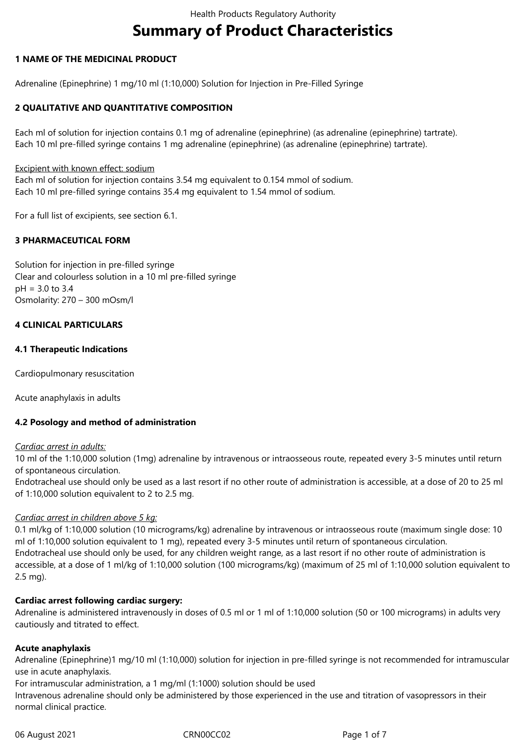# **Summary of Product Characteristics**

## **1 NAME OF THE MEDICINAL PRODUCT**

Adrenaline (Epinephrine) 1 mg/10 ml (1:10,000) Solution for Injection in Pre-Filled Syringe

## **2 QUALITATIVE AND QUANTITATIVE COMPOSITION**

Each ml of solution for injection contains 0.1 mg of adrenaline (epinephrine) (as adrenaline (epinephrine) tartrate). Each 10 ml pre-filled syringe contains 1 mg adrenaline (epinephrine) (as adrenaline (epinephrine) tartrate).

#### Excipient with known effect: sodium

Each ml of solution for injection contains 3.54 mg equivalent to 0.154 mmol of sodium. Each 10 ml pre-filled syringe contains 35.4 mg equivalent to 1.54 mmol of sodium.

For a full list of excipients, see section 6.1.

## **3 PHARMACEUTICAL FORM**

Solution for injection in pre-filled syringe Clear and colourless solution in a 10 ml pre-filled syringe pH = 3.0 to 3.4 Osmolarity: 270 – 300 mOsm/l

## **4 CLINICAL PARTICULARS**

## **4.1 Therapeutic Indications**

Cardiopulmonary resuscitation

Acute anaphylaxis in adults

#### **4.2 Posology and method of administration**

#### *Cardiac arrest in adults:*

10 ml of the 1:10,000 solution (1mg) adrenaline by intravenous or intraosseous route, repeated every 3-5 minutes until return of spontaneous circulation.

Endotracheal use should only be used as a last resort if no other route of administration is accessible, at a dose of 20 to 25 ml of 1:10,000 solution equivalent to 2 to 2.5 mg.

#### *Cardiac arrest in children above 5 kg:*

0.1 ml/kg of 1:10,000 solution (10 micrograms/kg) adrenaline by intravenous or intraosseous route (maximum single dose: 10 ml of 1:10,000 solution equivalent to 1 mg), repeated every 3-5 minutes until return of spontaneous circulation. Endotracheal use should only be used, for any children weight range, as a last resort if no other route of administration is accessible, at a dose of 1 ml/kg of 1:10,000 solution (100 micrograms/kg) (maximum of 25 ml of 1:10,000 solution equivalent to 2.5 mg).

#### **Cardiac arrest following cardiac surgery:**

Adrenaline is administered intravenously in doses of 0.5 ml or 1 ml of 1:10,000 solution (50 or 100 micrograms) in adults very cautiously and titrated to effect.

#### **Acute anaphylaxis**

Adrenaline (Epinephrine)1 mg/10 ml (1:10,000) solution for injection in pre-filled syringe is not recommended for intramuscular use in acute anaphylaxis.

For intramuscular administration, a 1 mg/ml (1:1000) solution should be used

Intravenous adrenaline should only be administered by those experienced in the use and titration of vasopressors in their normal clinical practice.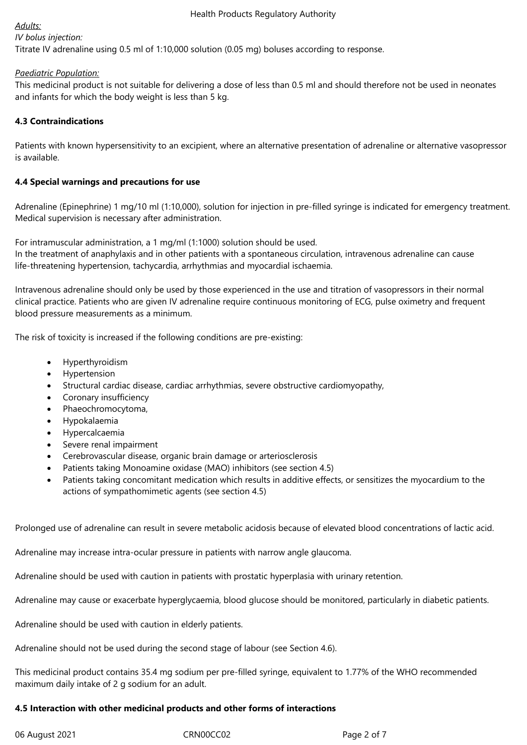## *Adults:*

# *IV bolus injection:*

Titrate IV adrenaline using 0.5 ml of 1:10,000 solution (0.05 mg) boluses according to response.

## *Paediatric Population:*

This medicinal product is not suitable for delivering a dose of less than 0.5 ml and should therefore not be used in neonates and infants for which the body weight is less than 5 kg.

## **4.3 Contraindications**

Patients with known hypersensitivity to an excipient, where an alternative presentation of adrenaline or alternative vasopressor is available.

## **4.4 Special warnings and precautions for use**

Adrenaline (Epinephrine) 1 mg/10 ml (1:10,000), solution for injection in pre-filled syringe is indicated for emergency treatment. Medical supervision is necessary after administration.

For intramuscular administration, a 1 mg/ml (1:1000) solution should be used.

In the treatment of anaphylaxis and in other patients with a spontaneous circulation, intravenous adrenaline can cause life-threatening hypertension, tachycardia, arrhythmias and myocardial ischaemia.

Intravenous adrenaline should only be used by those experienced in the use and titration of vasopressors in their normal clinical practice. Patients who are given IV adrenaline require continuous monitoring of ECG, pulse oximetry and frequent blood pressure measurements as a minimum.

The risk of toxicity is increased if the following conditions are pre-existing:

- Hyperthyroidism
- Hypertension
- Structural cardiac disease, cardiac arrhythmias, severe obstructive cardiomyopathy,
- Coronary insufficiency
- Phaeochromocytoma,
- Hypokalaemia
- Hypercalcaemia
- Severe renal impairment
- Cerebrovascular disease, organic brain damage or arteriosclerosis
- Patients taking Monoamine oxidase (MAO) inhibitors (see section 4.5)
- Patients taking concomitant medication which results in additive effects, or sensitizes the myocardium to the actions of sympathomimetic agents (see section 4.5)

Prolonged use of adrenaline can result in severe metabolic acidosis because of elevated blood concentrations of lactic acid.

Adrenaline may increase intra-ocular pressure in patients with narrow angle glaucoma.

Adrenaline should be used with caution in patients with prostatic hyperplasia with urinary retention.

Adrenaline may cause or exacerbate hyperglycaemia, blood glucose should be monitored, particularly in diabetic patients.

Adrenaline should be used with caution in elderly patients.

Adrenaline should not be used during the second stage of labour (see Section 4.6).

This medicinal product contains 35.4 mg sodium per pre-filled syringe, equivalent to 1.77% of the WHO recommended maximum daily intake of 2 g sodium for an adult.

## **4.5 Interaction with other medicinal products and other forms of interactions**

06 August 2021 **CRN00CC02** CRN00CC02 Page 2 of 7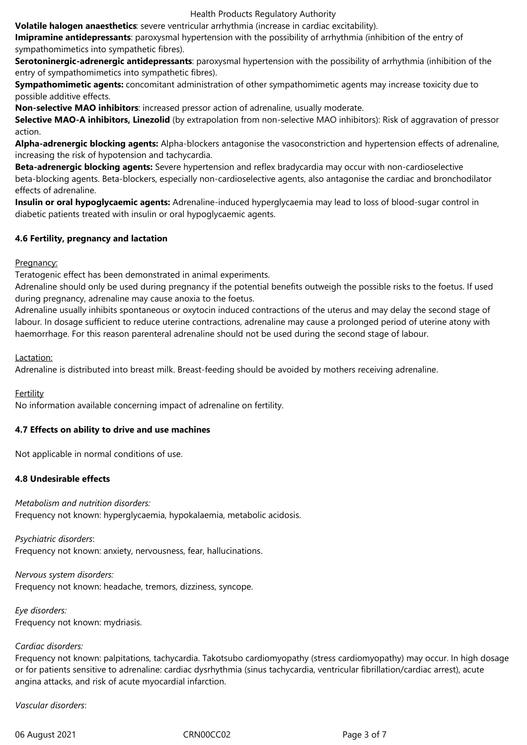Health Products Regulatory Authority

**Volatile halogen anaesthetics**: severe ventricular arrhythmia (increase in cardiac excitability).

**Imipramine antidepressants**: paroxysmal hypertension with the possibility of arrhythmia (inhibition of the entry of sympathomimetics into sympathetic fibres).

**Serotoninergic-adrenergic antidepressants**: paroxysmal hypertension with the possibility of arrhythmia (inhibition of the entry of sympathomimetics into sympathetic fibres).

**Sympathomimetic agents:** concomitant administration of other sympathomimetic agents may increase toxicity due to possible additive effects.

**Non-selective MAO inhibitors**: increased pressor action of adrenaline, usually moderate.

**Selective MAO-A inhibitors, Linezolid** (by extrapolation from non-selective MAO inhibitors): Risk of aggravation of pressor action.

**Alpha-adrenergic blocking agents:** Alpha-blockers antagonise the vasoconstriction and hypertension effects of adrenaline, increasing the risk of hypotension and tachycardia.

**Beta-adrenergic blocking agents:** Severe hypertension and reflex bradycardia may occur with non-cardioselective beta-blocking agents. Beta-blockers, especially non-cardioselective agents, also antagonise the cardiac and bronchodilator effects of adrenaline.

**Insulin or oral hypoglycaemic agents:** Adrenaline-induced hyperglycaemia may lead to loss of blood-sugar control in diabetic patients treated with insulin or oral hypoglycaemic agents.

## **4.6 Fertility, pregnancy and lactation**

## Pregnancy:

Teratogenic effect has been demonstrated in animal experiments.

Adrenaline should only be used during pregnancy if the potential benefits outweigh the possible risks to the foetus. If used during pregnancy, adrenaline may cause anoxia to the foetus.

Adrenaline usually inhibits spontaneous or oxytocin induced contractions of the uterus and may delay the second stage of labour. In dosage sufficient to reduce uterine contractions, adrenaline may cause a prolonged period of uterine atony with haemorrhage. For this reason parenteral adrenaline should not be used during the second stage of labour.

## Lactation:

Adrenaline is distributed into breast milk. Breast-feeding should be avoided by mothers receiving adrenaline.

## **Fertility**

No information available concerning impact of adrenaline on fertility.

## **4.7 Effects on ability to drive and use machines**

Not applicable in normal conditions of use.

## **4.8 Undesirable effects**

*Metabolism and nutrition disorders:* Frequency not known: hyperglycaemia, hypokalaemia, metabolic acidosis.

*Psychiatric disorders*: Frequency not known: anxiety, nervousness, fear, hallucinations.

*Nervous system disorders:* Frequency not known: headache, tremors, dizziness, syncope.

*Eye disorders:* Frequency not known: mydriasis.

## *Cardiac disorders:*

Frequency not known: palpitations, tachycardia. Takotsubo cardiomyopathy (stress cardiomyopathy) may occur. In high dosage or for patients sensitive to adrenaline: cardiac dysrhythmia (sinus tachycardia, ventricular fibrillation/cardiac arrest), acute angina attacks, and risk of acute myocardial infarction.

*Vascular disorders*:

06 August 2021 CRN00CC02 Page 3 of 7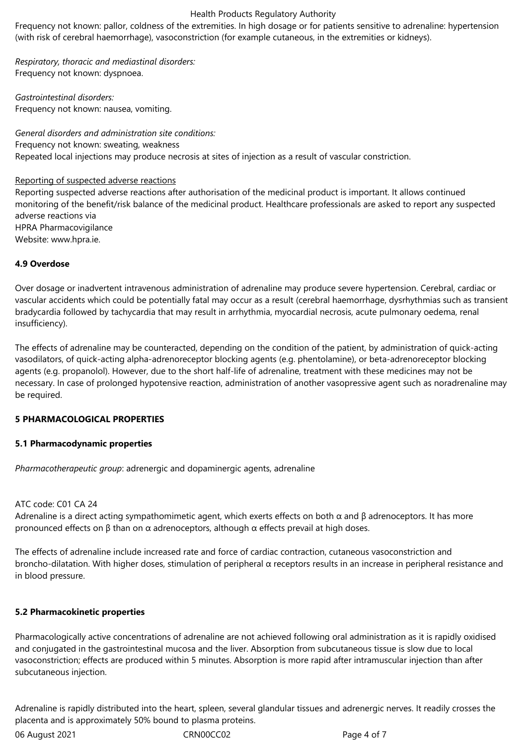#### Health Products Regulatory Authority

Frequency not known: pallor, coldness of the extremities. In high dosage or for patients sensitive to adrenaline: hypertension (with risk of cerebral haemorrhage), vasoconstriction (for example cutaneous, in the extremities or kidneys).

*Respiratory, thoracic and mediastinal disorders:*  Frequency not known: dyspnoea.

*Gastrointestinal disorders:* Frequency not known: nausea, vomiting.

*General disorders and administration site conditions:*  Frequency not known: sweating, weakness Repeated local injections may produce necrosis at sites of injection as a result of vascular constriction.

#### Reporting of suspected adverse reactions

Reporting suspected adverse reactions after authorisation of the medicinal product is important. It allows continued monitoring of the benefit/risk balance of the medicinal product. Healthcare professionals are asked to report any suspected adverse reactions via HPRA Pharmacovigilance Website: www.hpra.ie.

## **4.9 Overdose**

Over dosage or inadvertent intravenous administration of adrenaline may produce severe hypertension. Cerebral, cardiac or vascular accidents which could be potentially fatal may occur as a result (cerebral haemorrhage, dysrhythmias such as transient bradycardia followed by tachycardia that may result in arrhythmia, myocardial necrosis, acute pulmonary oedema, renal insufficiency).

The effects of adrenaline may be counteracted, depending on the condition of the patient, by administration of quick-acting vasodilators, of quick-acting alpha-adrenoreceptor blocking agents (e.g. phentolamine), or beta-adrenoreceptor blocking agents (e.g. propanolol). However, due to the short half-life of adrenaline, treatment with these medicines may not be necessary. In case of prolonged hypotensive reaction, administration of another vasopressive agent such as noradrenaline may be required.

#### **5 PHARMACOLOGICAL PROPERTIES**

#### **5.1 Pharmacodynamic properties**

*Pharmacotherapeutic group*: adrenergic and dopaminergic agents, adrenaline

#### ATC code: C01 CA 24

Adrenaline is a direct acting sympathomimetic agent, which exerts effects on both  $\alpha$  and  $\beta$  adrenoceptors. It has more pronounced effects on β than on α adrenoceptors, although α effects prevail at high doses.

The effects of adrenaline include increased rate and force of cardiac contraction, cutaneous vasoconstriction and broncho-dilatation. With higher doses, stimulation of peripheral α receptors results in an increase in peripheral resistance and in blood pressure.

#### **5.2 Pharmacokinetic properties**

Pharmacologically active concentrations of adrenaline are not achieved following oral administration as it is rapidly oxidised and conjugated in the gastrointestinal mucosa and the liver. Absorption from subcutaneous tissue is slow due to local vasoconstriction; effects are produced within 5 minutes. Absorption is more rapid after intramuscular injection than after subcutaneous injection.

Adrenaline is rapidly distributed into the heart, spleen, several glandular tissues and adrenergic nerves. It readily crosses the placenta and is approximately 50% bound to plasma proteins.

06 August 2021 **CRN00CC02** CRN00CC02 Page 4 of 7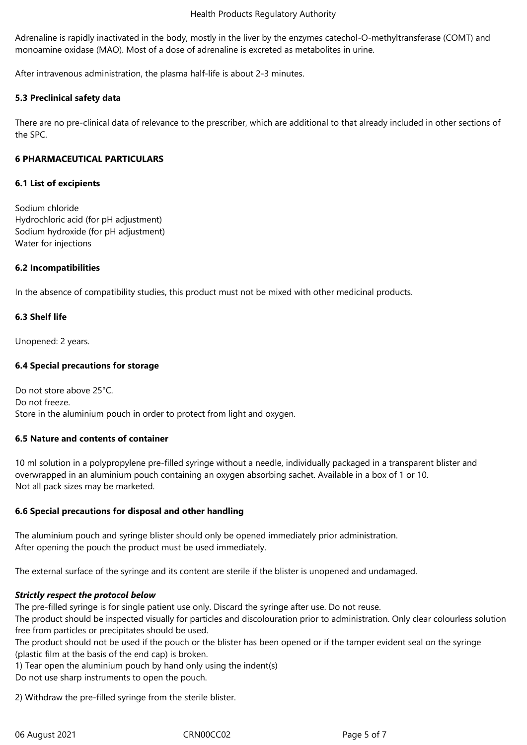#### Health Products Regulatory Authority

Adrenaline is rapidly inactivated in the body, mostly in the liver by the enzymes catechol-O-methyltransferase (COMT) and monoamine oxidase (MAO). Most of a dose of adrenaline is excreted as metabolites in urine.

After intravenous administration, the plasma half-life is about 2-3 minutes.

## **5.3 Preclinical safety data**

There are no pre-clinical data of relevance to the prescriber, which are additional to that already included in other sections of the SPC.

#### **6 PHARMACEUTICAL PARTICULARS**

#### **6.1 List of excipients**

Sodium chloride Hydrochloric acid (for pH adjustment) Sodium hydroxide (for pH adjustment) Water for injections

## **6.2 Incompatibilities**

In the absence of compatibility studies, this product must not be mixed with other medicinal products.

## **6.3 Shelf life**

Unopened: 2 years.

## **6.4 Special precautions for storage**

Do not store above 25°C. Do not freeze. Store in the aluminium pouch in order to protect from light and oxygen.

#### **6.5 Nature and contents of container**

10 ml solution in a polypropylene pre-filled syringe without a needle, individually packaged in a transparent blister and overwrapped in an aluminium pouch containing an oxygen absorbing sachet. Available in a box of 1 or 10. Not all pack sizes may be marketed.

## **6.6 Special precautions for disposal and other handling**

The aluminium pouch and syringe blister should only be opened immediately prior administration. After opening the pouch the product must be used immediately.

The external surface of the syringe and its content are sterile if the blister is unopened and undamaged.

## *Strictly respect the protocol below*

The pre-filled syringe is for single patient use only. Discard the syringe after use. Do not reuse.

The product should be inspected visually for particles and discolouration prior to administration. Only clear colourless solution free from particles or precipitates should be used.

The product should not be used if the pouch or the blister has been opened or if the tamper evident seal on the syringe (plastic film at the basis of the end cap) is broken.

1) Tear open the aluminium pouch by hand only using the indent(s)

Do not use sharp instruments to open the pouch.

2) Withdraw the pre-filled syringe from the sterile blister.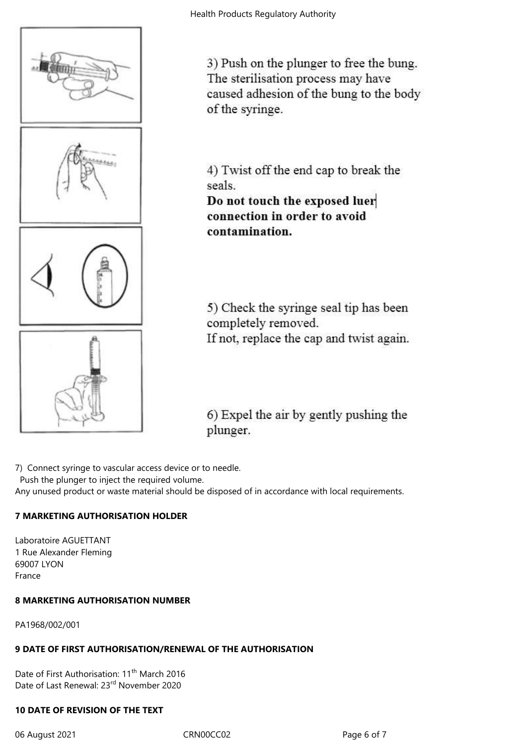

3) Push on the plunger to free the bung. The sterilisation process may have caused adhesion of the bung to the body of the syringe.

4) Twist off the end cap to break the seals.

Do not touch the exposed luer connection in order to avoid contamination.

5) Check the syringe seal tip has been completely removed. If not, replace the cap and twist again.

6) Expel the air by gently pushing the plunger.

7) Connect syringe to vascular access device or to needle.

Push the plunger to inject the required volume.

Any unused product or waste material should be disposed of in accordance with local requirements.

# **7 MARKETING AUTHORISATION HOLDER**

Laboratoire AGUETTANT 1 Rue Alexander Fleming 69007 LYON France

# **8 MARKETING AUTHORISATION NUMBER**

PA1968/002/001

# **9 DATE OF FIRST AUTHORISATION/RENEWAL OF THE AUTHORISATION**

Date of First Authorisation: 11<sup>th</sup> March 2016 Date of Last Renewal: 23rd November 2020

## **10 DATE OF REVISION OF THE TEXT**

06 August 2021 CRN00CC02 CRN00CC02